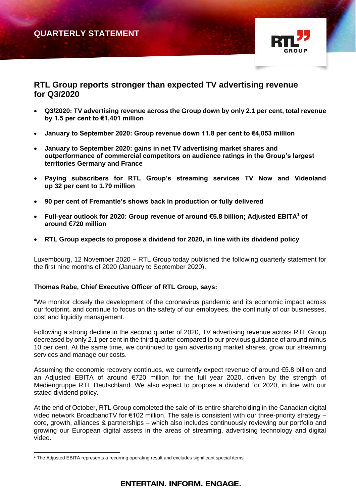# **QUARTERLY STATEMENT**



## **RTL Group reports stronger than expected TV advertising revenue for Q3/2020**

- **Q3/2020: TV advertising revenue across the Group down by only 2.1 per cent, total revenue by 1.5 per cent to €1,401 million**
- **January to September 2020: Group revenue down 11.8 per cent to €4,053 million**
- **January to September 2020: gains in net TV advertising market shares and outperformance of commercial competitors on audience ratings in the Group's largest territories Germany and France**
- **Paying subscribers for RTL Group's streaming services TV Now and Videoland up 32 per cent to 1.79 million**
- **90 per cent of Fremantle's shows back in production or fully delivered**
- **Full-year outlook for 2020: Group revenue of around €5.8 billion; Adjusted EBITA<sup>1</sup> of around €720 million**
- **RTL Group expects to propose a dividend for 2020, in line with its dividend policy**

Luxembourg, 12 November 2020 − RTL Group today published the following quarterly statement for the first nine months of 2020 (January to September 2020).

### **Thomas Rabe, Chief Executive Officer of RTL Group, says:**

"We monitor closely the development of the coronavirus pandemic and its economic impact across our footprint, and continue to focus on the safety of our employees, the continuity of our businesses, cost and liquidity management.

Following a strong decline in the second quarter of 2020, TV advertising revenue across RTL Group decreased by only 2.1 per cent in the third quarter compared to our previous guidance of around minus 10 per cent. At the same time, we continued to gain advertising market shares, grow our streaming services and manage our costs.

Assuming the economic recovery continues, we currently expect revenue of around €5.8 billion and an Adjusted EBITA of around €720 million for the full year 2020, driven by the strength of Mediengruppe RTL Deutschland. We also expect to propose a dividend for 2020, in line with our stated dividend policy.

At the end of October, RTL Group completed the sale of its entire shareholding in the Canadian digital video network BroadbandTV for €102 million. The sale is consistent with our three-priority strategy – core, growth, alliances & partnerships – which also includes continuously reviewing our portfolio and growing our European digital assets in the areas of streaming, advertising technology and digital video."

<sup>&</sup>lt;sup>1</sup> The Adjusted EBITA represents a recurring operating result and excludes significant special items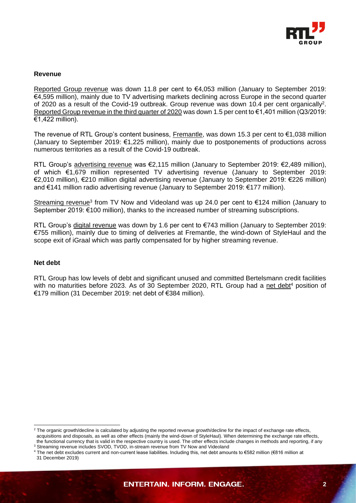

#### **Revenue**

Reported Group revenue was down 11.8 per cent to €4,053 million (January to September 2019: €4,595 million), mainly due to TV advertising markets declining across Europe in the second quarter of 2020 as a result of the Covid-19 outbreak. Group revenue was down 10.4 per cent organically<sup>2</sup>. Reported Group revenue in the third quarter of 2020 was down 1.5 per cent to €1,401 million (Q3/2019: €1,422 million).

The revenue of RTL Group's content business, Fremantle, was down 15.3 per cent to €1,038 million (January to September 2019: €1,225 million), mainly due to postponements of productions across numerous territories as a result of the Covid-19 outbreak.

RTL Group's advertising revenue was €2,115 million (January to September 2019: €2,489 million), of which €1,679 million represented TV advertising revenue (January to September 2019: €2,010 million), €210 million digital advertising revenue (January to September 2019: €226 million) and €141 million radio advertising revenue (January to September 2019: €177 million).

Streaming revenue<sup>3</sup> from TV Now and Videoland was up 24.0 per cent to  $\epsilon$ 124 million (January to September 2019: €100 million), thanks to the increased number of streaming subscriptions.

RTL Group's digital revenue was down by 1.6 per cent to €743 million (January to September 2019: €755 million), mainly due to timing of deliveries at Fremantle, the wind-down of StyleHaul and the scope exit of iGraal which was partly compensated for by higher streaming revenue.

#### **Net debt**

RTL Group has low levels of debt and significant unused and committed Bertelsmann credit facilities with no maturities before 2023. As of 30 September 2020, RTL Group had a net debt<sup>4</sup> position of €179 million (31 December 2019: net debt of €384 million).

<sup>&</sup>lt;sup>2</sup> The organic growth/decline is calculated by adjusting the reported revenue growth/decline for the impact of exchange rate effects, acquisitions and disposals, as well as other effects (mainly the wind-down of StyleHaul). When determining the exchange rate effects, the functional currency that is valid in the respective country is used. The other effects include changes in methods and reporting, if any

<sup>&</sup>lt;sup>3</sup> Streaming revenue includes SVOD, TVOD, in-stream revenue from TV Now and Videoland

<sup>4</sup> The net debt excludes current and non-current lease liabilities. Including this, net debt amounts to €582 million (€816 million at 31 December 2019)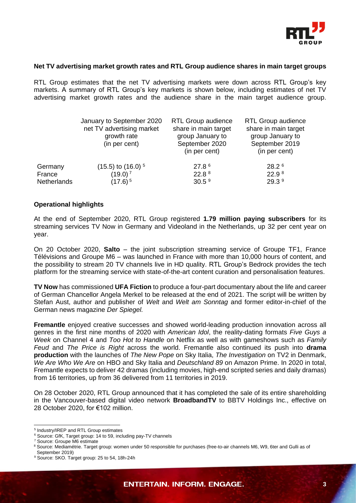

#### **Net TV advertising market growth rates and RTL Group audience shares in main target groups**

RTL Group estimates that the net TV advertising markets were down across RTL Group's key markets. A summary of RTL Group's key markets is shown below, including estimates of net TV advertising market growth rates and the audience share in the main target audience group.

| January to September 2020<br><b>RTL Group audience</b><br>share in main target<br>net TV advertising market<br>group January to<br>growth rate<br>September 2020<br>(in per cent)<br>(in per cent) | <b>RTL Group audience</b><br>share in main target<br>group January to<br>September 2019<br>(in per cent) |
|----------------------------------------------------------------------------------------------------------------------------------------------------------------------------------------------------|----------------------------------------------------------------------------------------------------------|
| 27.8 6<br>$(15.5)$ to $(16.0)$ <sup>5</sup><br>Germany                                                                                                                                             | 28.2 <sup>6</sup>                                                                                        |
| 22.8 <sup>8</sup><br>$(19.0)^7$<br>France                                                                                                                                                          | 22.9 <sup>8</sup>                                                                                        |
| 30.5 <sup>9</sup><br>Netherlands<br>$(17.6)^{5}$                                                                                                                                                   | 29.3 9                                                                                                   |

#### **Operational highlights**

At the end of September 2020, RTL Group registered **1.79 million paying subscribers** for its streaming services TV Now in Germany and Videoland in the Netherlands, up 32 per cent year on year.

On 20 October 2020, **Salto** – the joint subscription streaming service of Groupe TF1, France Télévisions and Groupe M6 – was launched in France with more than 10,000 hours of content, and the possibility to stream 20 TV channels live in HD quality. RTL Group's Bedrock provides the tech platform for the streaming service with state-of-the-art content curation and personalisation features.

**TV Now** has commissioned **UFA Fiction** to produce a four-part documentary about the life and career of German Chancellor Angela Merkel to be released at the end of 2021. The script will be written by Stefan Aust, author and publisher of *Welt* and *Welt am Sonntag* and former editor-in-chief of the German news magazine *Der Spiegel.*

**Fremantle** enjoyed creative successes and showed world-leading production innovation across all genres in the first nine months of 2020 with *American Idol*, the reality-dating formats *Five Guys a Week* on Channel 4 and *Too Hot to Handle* on Netflix as well as with gameshows such as *Family Feud* and *The Price is Right* across the world. Fremantle also continued its push into **drama production** with the launches of *The New Pope* on Sky Italia, *The Investigation* on TV2 in Denmark, *We Are Who We Are* on HBO and Sky Italia and *Deutschland 89* on Amazon Prime. In 2020 in total, Fremantle expects to deliver 42 dramas (including movies, high-end scripted series and daily dramas) from 16 territories, up from 36 delivered from 11 territories in 2019.

On 28 October 2020, RTL Group announced that it has completed the sale of its entire shareholding in the Vancouver-based digital video network **BroadbandTV** to BBTV Holdings Inc., effective on 28 October 2020, for €102 million.

<sup>5</sup> Industry/IREP and RTL Group estimates

<sup>&</sup>lt;sup>6</sup> Source: GfK, Target group: 14 to 59, including pay-TV channels

<sup>7</sup> Source: Groupe M6 estimate

<sup>8</sup> Source: Mediamétrie. Target group: women under 50 responsible for purchases (free-to-air channels M6, W9, 6ter and Gulli as of September 2019)

<sup>9</sup> Source: SKO. Target group: 25 to 54, 18h-24h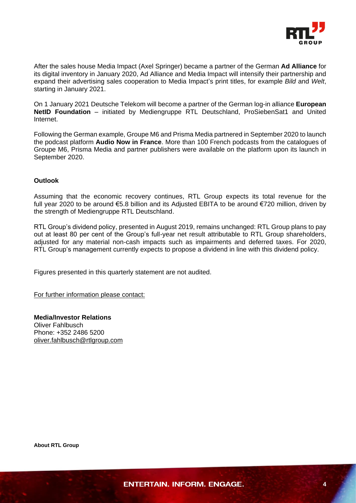

After the sales house Media Impact (Axel Springer) became a partner of the German **Ad Alliance** for its digital inventory in January 2020, Ad Alliance and Media Impact will intensify their partnership and expand their advertising sales cooperation to Media Impact's print titles, for example *Bild* and *Welt*, starting in January 2021.

On 1 January 2021 Deutsche Telekom will become a partner of the German log-in alliance **European NetID Foundation** – initiated by Mediengruppe RTL Deutschland, ProSiebenSat1 and United Internet.

Following the German example, Groupe M6 and Prisma Media partnered in September 2020 to launch the podcast platform **Audio Now in France**. More than 100 French podcasts from the catalogues of Groupe M6, Prisma Media and partner publishers were available on the platform upon its launch in September 2020.

#### **Outlook**

Assuming that the economic recovery continues, RTL Group expects its total revenue for the full year 2020 to be around €5.8 billion and its Adjusted EBITA to be around €720 million, driven by the strength of Mediengruppe RTL Deutschland.

RTL Group's dividend policy, presented in August 2019, remains unchanged: RTL Group plans to pay out at least 80 per cent of the Group's full-year net result attributable to RTL Group shareholders, adjusted for any material non-cash impacts such as impairments and deferred taxes. For 2020, RTL Group's management currently expects to propose a dividend in line with this dividend policy.

Figures presented in this quarterly statement are not audited.

For further information please contact:

**Media/Investor Relations** Oliver Fahlbusch Phone: +352 2486 5200 [oliver.fahlbusch@rtlgroup.com](mailto:oliver.fahlbusch@rtlgroup.com)

**About RTL Group**